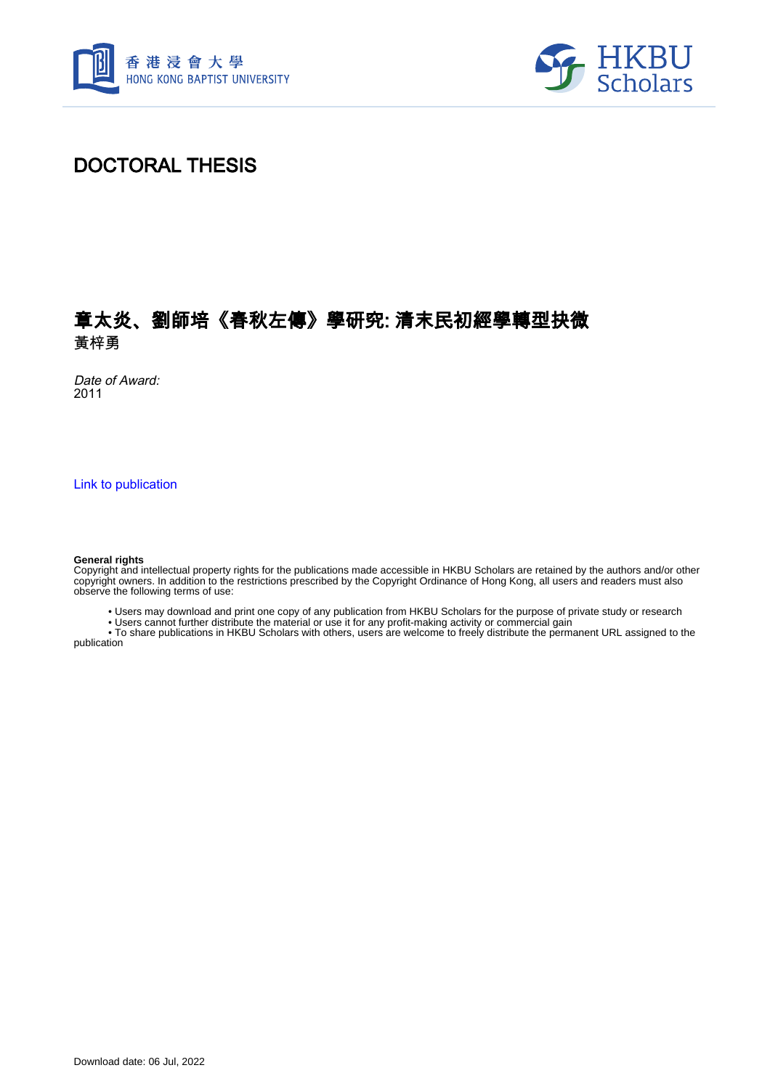



### DOCTORAL THESIS

### 章太炎、劉師培《春秋左傳》學研究: 清末民初經學轉型抉微 黃梓勇

Date of Award: 2011

[Link to publication](https://scholars.hkbu.edu.hk/en/studentTheses/fe579fb6-35fd-418d-917c-6202573ad446)

#### **General rights**

Copyright and intellectual property rights for the publications made accessible in HKBU Scholars are retained by the authors and/or other copyright owners. In addition to the restrictions prescribed by the Copyright Ordinance of Hong Kong, all users and readers must also observe the following terms of use:

• Users may download and print one copy of any publication from HKBU Scholars for the purpose of private study or research

• Users cannot further distribute the material or use it for any profit-making activity or commercial gain

 • To share publications in HKBU Scholars with others, users are welcome to freely distribute the permanent URL assigned to the publication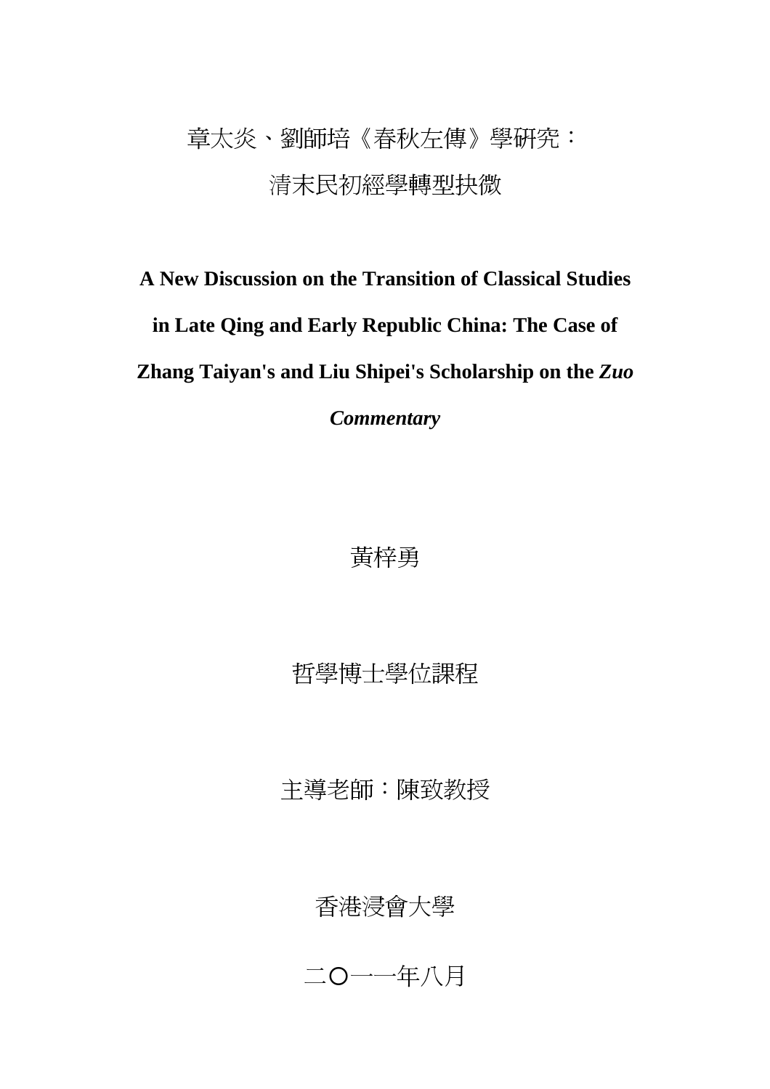## 章太炎、劉師培《春秋左傳》學研究: 清末民初經學轉型抉微

# **A New Discussion on the Transition of Classical Studies in Late Qing and Early Republic China: The Case of Zhang Taiyan's and Liu Shipei's Scholarship on the** *Zuo*

*Commentary*

### 黃梓勇

哲學博士學位課程

主導老師:陳致教授

### 香港浸會大學

二〇一一年八月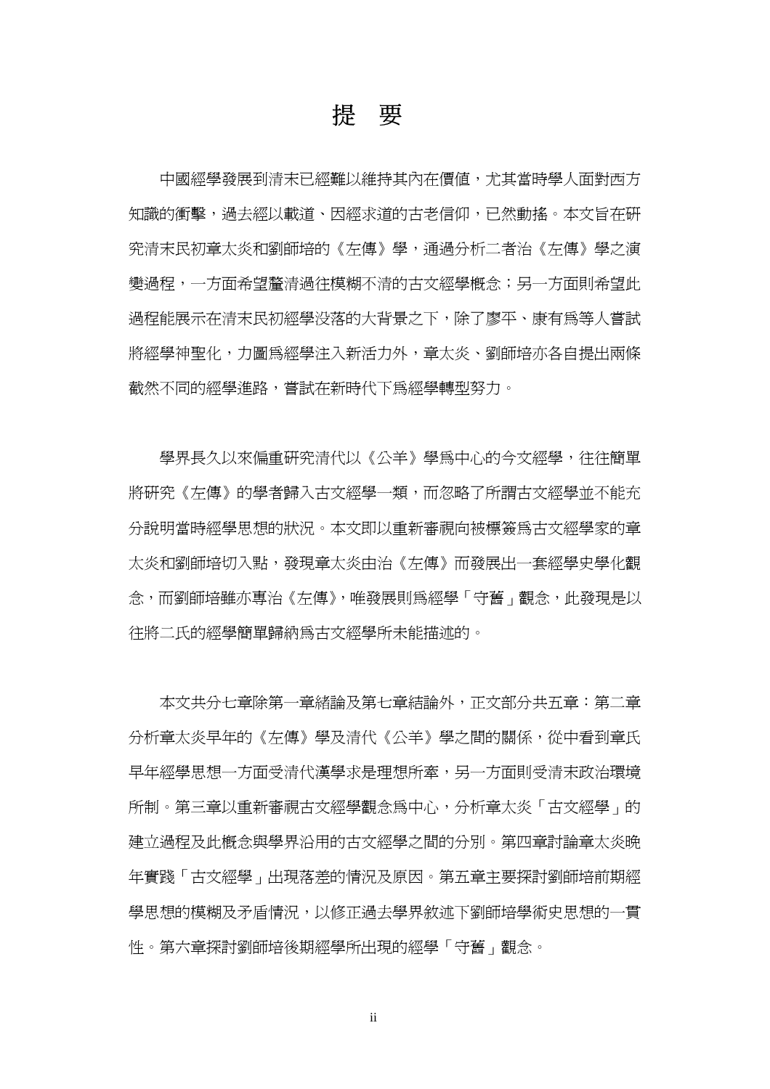### 提要

 中國經學發展到清末已經難以維持其內在價值,尤其當時學人面對西方 知識的衝擊,過去經以載道、因經求道的古老信仰,已然動搖。本文旨在研 究清末民初章太炎和劉師培的《左傳》學,通過分析二者治《左傳》學之演 變過程,一方面希望釐清過往模糊不清的古文經學概念;另一方面則希望此 過程能展示在清末民初經學没落的大背景之下,除了廖平、康有為等人嘗試 將經學神聖化,力圖為經學注入新活力外,章太炎、劉師培亦各自提出兩條 截然不同的經學進路,嘗試在新時代下為經學轉型努力。

學界長久以來偏重研究清代以《公羊》學爲中心的今文經學,往往簡單 將研究《左傳》的學者歸入古文經學一類,而忽略了所謂古文經學並不能充 分說明當時經學思想的狀況。本文即以重新審視向被標簽為古文經學家的章 太炎和劉師培切入點,發現章太炎由治《左傳》而發展出一套經學史學化觀 念,而劉師培雖亦專治《左傳》,唯發展則為經學「守舊」觀念,此發現是以 往將二氏的經學簡單歸納為古文經學所未能描述的。

本文共分七章除第一章緒論及第七章結論外,正文部分共五章:第二章 分析章太炎早年的《左傳》學及清代《公羊》學之間的關係,從中看到章氏 早年經學思想一方面受清代漢學求是理想所牽,另一方面則受清末政治環境 所制。第三章以重新審視古文經學觀念爲中心,分析章太炎「古文經學」的 建立過程及此概念與學界沿用的古文經學之間的分別。第四章討論章太炎晚 年實踐「古文經學」出現落差的情況及原因。第五章主要探討劉師培前期經 學思想的模糊及矛盾情況,以修正過去學界敘述下劉師培學術史思想的一貫 性。第六章探討劉師培後期經學所出現的經學「守舊」觀念。

ii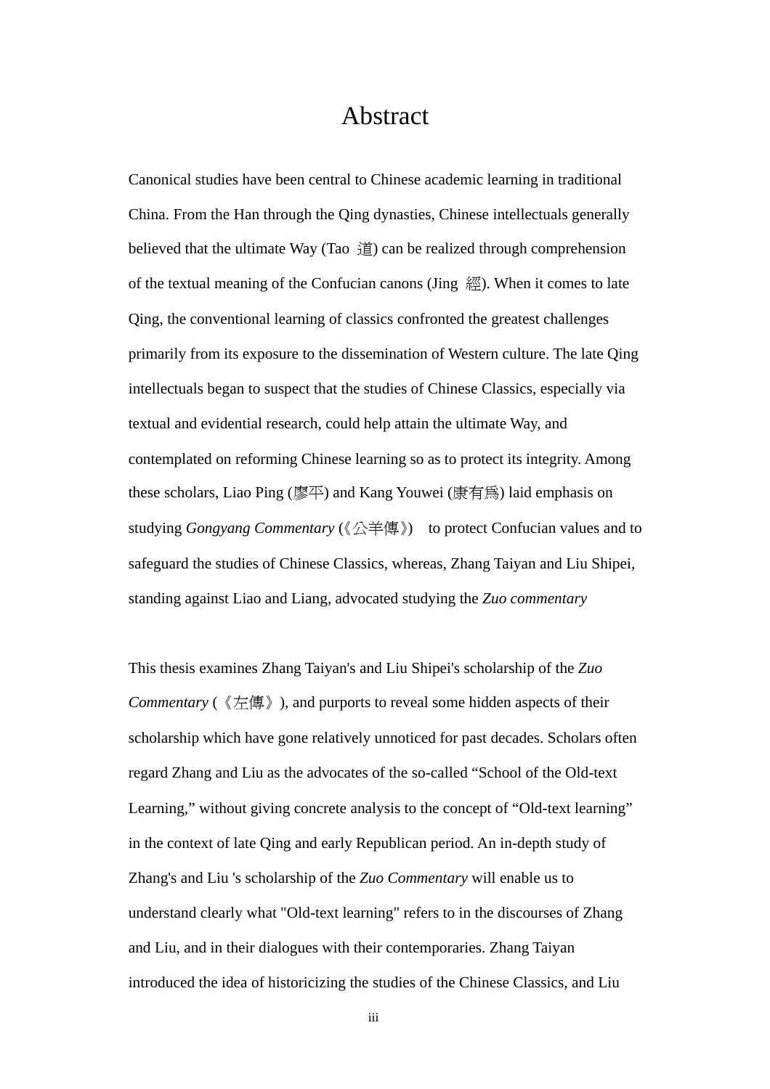### Abstract

Canonical studies have been central to Chinese academic learning in traditional China. From the Han through the Qing dynasties, Chinese intellectuals generally believed that the ultimate Way (Tao  $\hat{H}$ ) can be realized through comprehension of the textual meaning of the Confucian canons (Jing 經). When it comes to late Qing, the conventional learning of classics confronted the greatest challenges primarily from its exposure to the dissemination of Western culture. The late Qing intellectuals began to suspect that the studies of Chinese Classics, especially via textual and evidential research, could help attain the ultimate Way, and contemplated on reforming Chinese learning so as to protect its integrity. Among these scholars, Liao Ping (廖平) and Kang Youwei (康有為) laid emphasis on studying *Gongyang Commentary* (《公羊傳》) to protect Confucian values and to safeguard the studies of Chinese Classics, whereas, Zhang Taiyan and Liu Shipei, standing against Liao and Liang, advocated studying the *Zuo commentary*

This thesis examines Zhang Taiyan's and Liu Shipei's scholarship of the *Zuo Commentary* (《左傳》), and purports to reveal some hidden aspects of their scholarship which have gone relatively unnoticed for past decades. Scholars often regard Zhang and Liu as the advocates of the so-called "School of the Old-text Learning," without giving concrete analysis to the concept of "Old-text learning" in the context of late Qing and early Republican period. An in-depth study of Zhang's and Liu 's scholarship of the *Zuo Commentary* will enable us to understand clearly what "Old-text learning" refers to in the discourses of Zhang and Liu, and in their dialogues with their contemporaries. Zhang Taiyan introduced the idea of historicizing the studies of the Chinese Classics, and Liu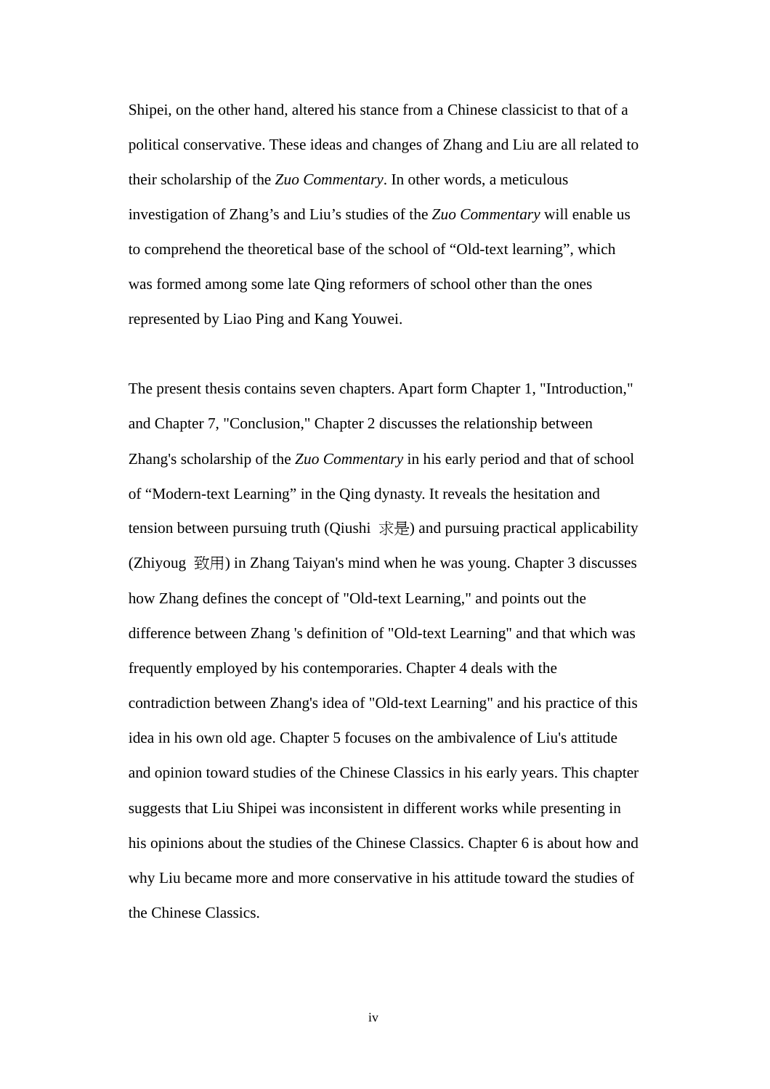Shipei, on the other hand, altered his stance from a Chinese classicist to that of a political conservative. These ideas and changes of Zhang and Liu are all related to their scholarship of the *Zuo Commentary*. In other words, a meticulous investigation of Zhang's and Liu's studies of the *Zuo Commentary* will enable us to comprehend the theoretical base of the school of "Old-text learning", which was formed among some late Qing reformers of school other than the ones represented by Liao Ping and Kang Youwei.

The present thesis contains seven chapters. Apart form Chapter 1, "Introduction," and Chapter 7, "Conclusion," Chapter 2 discusses the relationship between Zhang's scholarship of the *Zuo Commentary* in his early period and that of school of "Modern-text Learning" in the Qing dynasty. It reveals the hesitation and tension between pursuing truth (Qiushi 求是) and pursuing practical applicability (Zhiyoug 致用) in Zhang Taiyan's mind when he was young. Chapter 3 discusses how Zhang defines the concept of "Old-text Learning," and points out the difference between Zhang 's definition of "Old-text Learning" and that which was frequently employed by his contemporaries. Chapter 4 deals with the contradiction between Zhang's idea of "Old-text Learning" and his practice of this idea in his own old age. Chapter 5 focuses on the ambivalence of Liu's attitude and opinion toward studies of the Chinese Classics in his early years. This chapter suggests that Liu Shipei was inconsistent in different works while presenting in his opinions about the studies of the Chinese Classics. Chapter 6 is about how and why Liu became more and more conservative in his attitude toward the studies of the Chinese Classics.

iv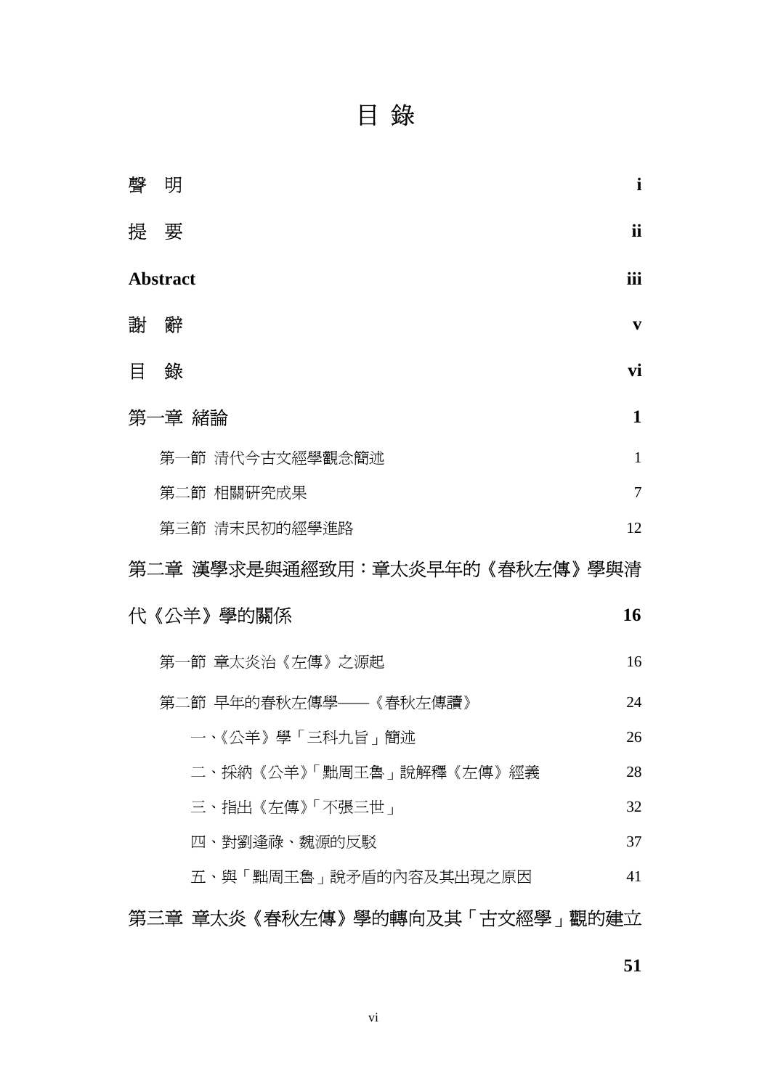目 錄

| 聲                             | 明                       | $\mathbf{i}$ |  |
|-------------------------------|-------------------------|--------------|--|
|                               | 提 要                     | ii           |  |
| iii<br><b>Abstract</b>        |                         |              |  |
|                               | 謝 辭                     | V            |  |
| 目                             | 錄                       | vi           |  |
|                               | 第一章 緒論                  | $\mathbf{1}$ |  |
|                               | 第一節 清代今古文經學觀念簡述         | 1            |  |
|                               | 第二節 相關研究成果              | 7            |  |
|                               | 第三節 清末民初的經學進路           | 12           |  |
| 第二章 漢學求是與通經致用:章太炎早年的《春秋左傳》學與清 |                         |              |  |
|                               |                         |              |  |
|                               | 代《公羊》學的關係               | 16           |  |
|                               | 第一節 章太炎治《左傳》之源起         | 16           |  |
|                               | 第二節 早年的春秋左傳學——《春秋左傳讀》   | 24           |  |
|                               | 一、《公羊》學「三科九旨」簡述         | 26           |  |
|                               | 二、採納《公羊》「黜周王魯」說解釋《左傳》經義 | 28           |  |
|                               | 三、指出《左傳》「不張三世」          | 32           |  |
|                               | 四、對劉逢祿、魏源的反駁            | 37           |  |
|                               | 五、與「黜周王魯」說矛盾的內容及其出現之原因  | 41           |  |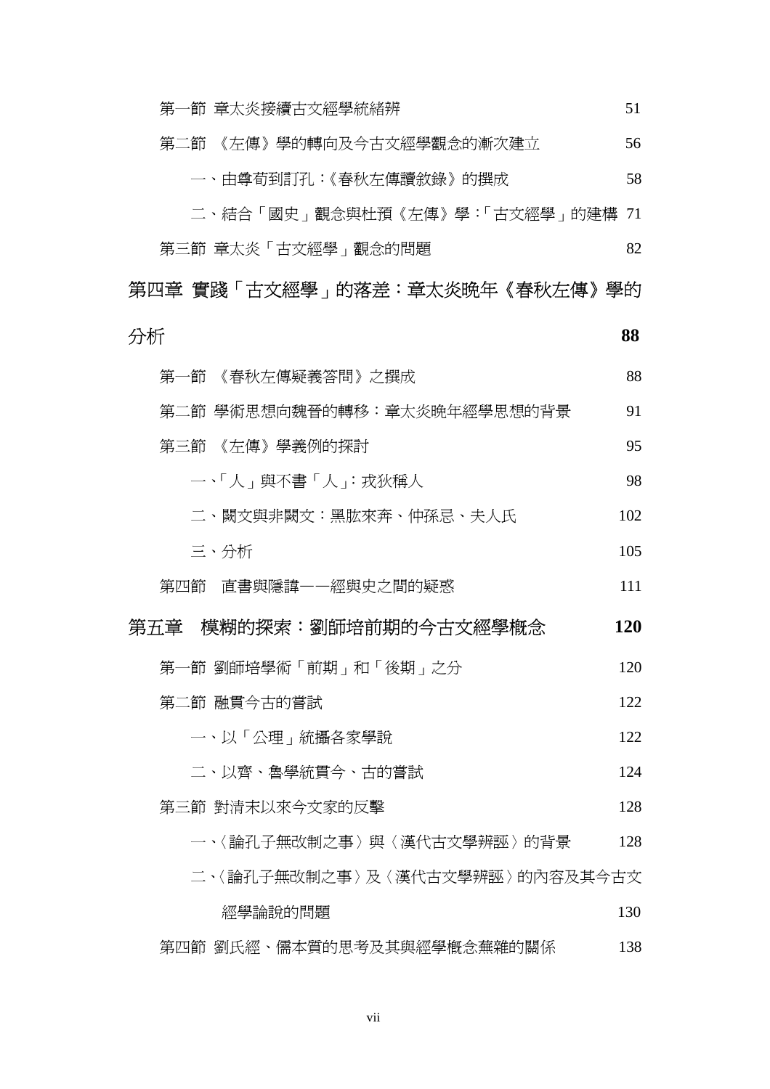| 第一節 章太炎接續古文經學統緒辨               | 51  |
|--------------------------------|-----|
| 第二節 《左傳》學的轉向及今古文經學觀念的漸次建立      | 56  |
| 一、由尊荀到訂孔:《春秋左傳讀敘錄》的撰成          | 58  |
| 二、結合「國史」觀念與杜預《左傳》學:「古文經學」的建構   | 71  |
| 第三節 章太炎「古文經學」觀念的問題             | 82  |
| 第四章 實踐「古文經學」的落差:章太炎晩年《春秋左傳》學的  |     |
| 分析                             | 88  |
| 第一節 《春秋左傳疑義答問》之撰成              | 88  |
| 第二節 學術思想向魏晉的轉移:章太炎晩年經學思想的背景    | 91  |
| 第三節 《左傳》學義例的探討                 | 95  |
| 一、「人」與不書「人」:戎狄稱人               | 98  |
| 二、闕文與非闕文:黑肱來奔、仲孫忌、夫人氏          | 102 |
| 三、分析                           | 105 |
| 第四節 直書與隱諱——經與史之間的疑惑            | 111 |
| 第五章 模糊的探索:劉師培前期的今古文經學概念        | 120 |
| 第一節 劉師培學術「前期」和「後期」之分           | 120 |
| 第二節 融貫今古的嘗試                    | 122 |
| 一、以「公理」統攝各家學說                  | 122 |
| 二、以齊、魯學統貫今、古的嘗試                | 124 |
| 第三節 對清末以來今文家的反擊                | 128 |
| 一、〈論孔子無改制之事〉與〈漢代古文學辨誣〉的背景      | 128 |
| 二、〈論孔子無改制之事〉及〈漢代古文學辨誣〉的內容及其今古文 |     |
| 經學論說的問題                        | 130 |
| 第四節 劉氏經、儒本質的思考及其與經學概念蕪雜的關係     | 138 |

vii